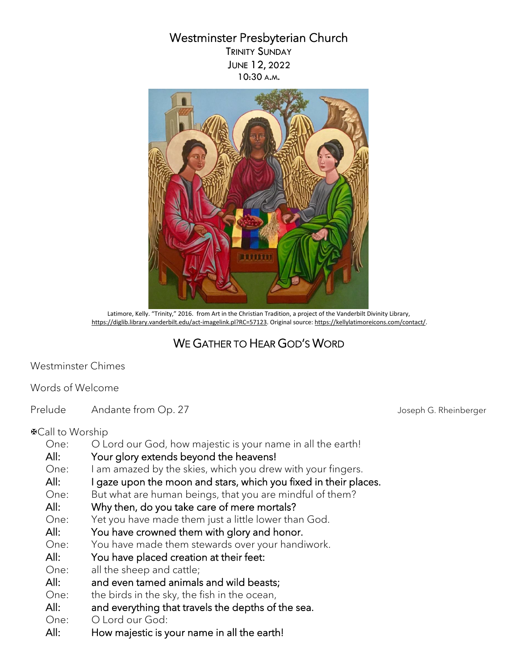## Westminster Presbyterian Church

TRINITY SUNDAY JUNE 12, 2022 10:30 A.M.



 Latimore, Kelly. "Trinity," 2016. from Art in the Christian Tradition, a project of the Vanderbilt Divinity Library, [https://diglib.library.vanderbilt.edu/act-imagelink.pl?RC=57123.](https://diglib.library.vanderbilt.edu/act-imagelink.pl?RC=57123) Original source[: https://kellylatimoreicons.com/contact/.](https://kellylatimoreicons.com/contact/)

## WE GATHER TO HEAR GOD'S WORD

Westminster Chimes

## Words of Welcome

Prelude Andante from Op. 27 Andante from Op. 27 And and all the United States of the United States And and Andrew Joseph G. Rheinberger

Call to Worship

- One: O Lord our God, how majestic is your name in all the earth!
- All: Your glory extends beyond the heavens!
- One: I am amazed by the skies, which you drew with your fingers.
- All: I gaze upon the moon and stars, which you fixed in their places.
- One: But what are human beings, that you are mindful of them?

#### All: Why then, do you take care of mere mortals?

- One: Yet you have made them just a little lower than God.
- All: You have crowned them with glory and honor.
- One: You have made them stewards over your handiwork.
- All: You have placed creation at their feet:
- One: all the sheep and cattle;
- All: and even tamed animals and wild beasts;
- One: the birds in the sky, the fish in the ocean,
- All: and everything that travels the depths of the sea.
- One: O Lord our God:
- All: How majestic is your name in all the earth!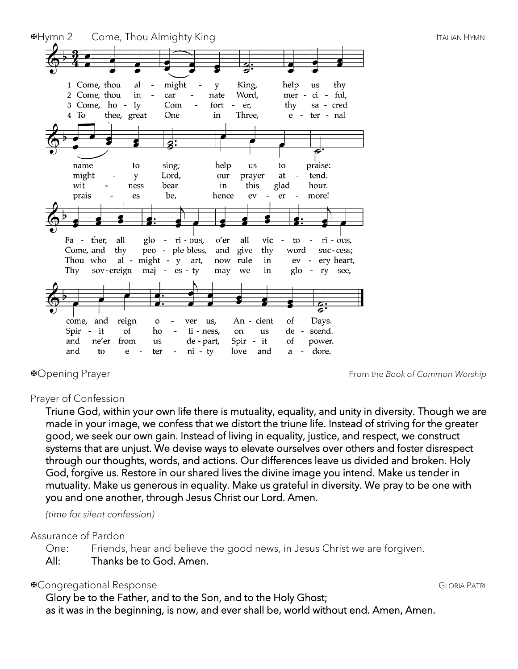

Opening Prayer From the *Book of Common Worship*

## Prayer of Confession

Triune God, within your own life there is mutuality, equality, and unity in diversity. Though we are made in your image, we confess that we distort the triune life. Instead of striving for the greater good, we seek our own gain. Instead of living in equality, justice, and respect, we construct systems that are unjust. We devise ways to elevate ourselves over others and foster disrespect through our thoughts, words, and actions. Our differences leave us divided and broken. Holy God, forgive us. Restore in our shared lives the divine image you intend. Make us tender in mutuality. Make us generous in equality. Make us grateful in diversity. We pray to be one with you and one another, through Jesus Christ our Lord. Amen.

*(time for silent confession)*

#### Assurance of Pardon

One: Friends, hear and believe the good news, in Jesus Christ we are forgiven.

All: Thanks be to God. Amen.

## **EXPONSE GLORIA RESPONSE GLORIA PATRICIPAL SUBSETION CONSTRUES CON A PATRICIPAL CONSTRUES GLORIA PATRICIPAL SUBSETION**

 Glory be to the Father, and to the Son, and to the Holy Ghost; as it was in the beginning, is now, and ever shall be, world without end. Amen, Amen.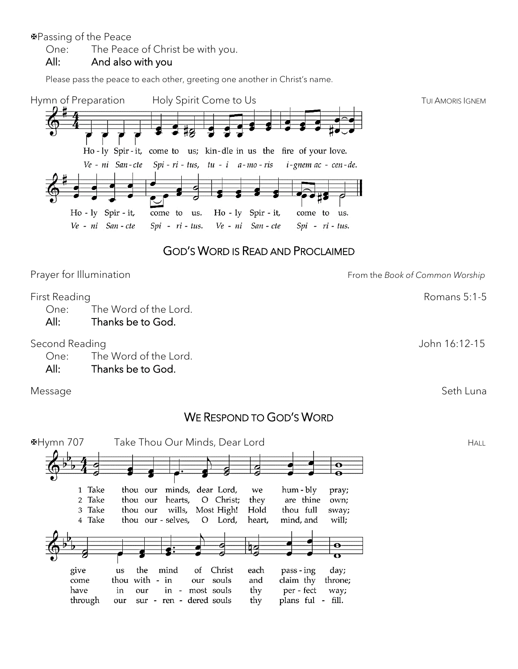Passing of the Peace

One: The Peace of Christ be with you.

#### All: And also with you

Please pass the peace to each other, greeting one another in Christ's name.



#### Second Reading **Second Reading** Second Reading **Second Reading** Second Reading Second Reading Second Reading Second Reading Second Reading Second Reading Second Reading Second Reading Second Reading Second Reading Second R

One: The Word of the Lord.

All: Thanks be to God.

#### Message Seth Luna (1999) and the settlement of the settlement of the Seth Luna (1999) and the Seth Luna (1999)

## WE RESPOND TO GOD'S WORD

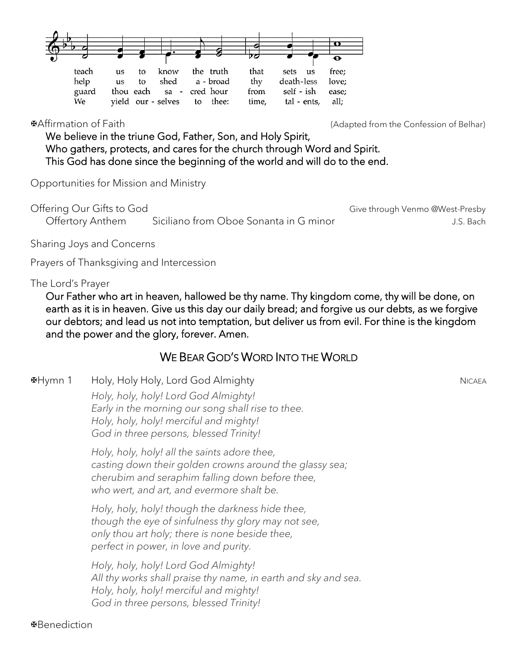

Affirmation of Faith (Adapted from the Confession of Belhar)

We believe in the triune God, Father, Son, and Holy Spirit, Who gathers, protects, and cares for the church through Word and Spirit. This God has done since the beginning of the world and will do to the end.

Opportunities for Mission and Ministry

Offering Our Gifts to God Give through Venmo @West-Presby Offertory Anthem Siciliano from Oboe Sonanta in G minor Theorem Constants I.S. Bach

Sharing Joys and Concerns

Prayers of Thanksgiving and Intercession

#### The Lord's Prayer

Our Father who art in heaven, hallowed be thy name. Thy kingdom come, thy will be done, on earth as it is in heaven. Give us this day our daily bread; and forgive us our debts, as we forgive our debtors; and lead us not into temptation, but deliver us from evil. For thine is the kingdom and the power and the glory, forever. Amen.

## WE BEAR GOD'S WORD INTO THE WORLD

⊕Hymn 1 Holy, Holy Holy, Lord God Almighty Nicaea → Nicaea → Nicaea → Nicaea *Holy, holy, holy! Lord God Almighty! Early in the morning our song shall rise to thee. Holy, holy, holy! merciful and mighty! God in three persons, blessed Trinity!*

> *Holy, holy, holy! all the saints adore thee, casting down their golden crowns around the glassy sea; cherubim and seraphim falling down before thee, who wert, and art, and evermore shalt be.*

*Holy, holy, holy! though the darkness hide thee, though the eye of sinfulness thy glory may not see, only thou art holy; there is none beside thee, perfect in power, in love and purity.*

*Holy, holy, holy! Lord God Almighty! All thy works shall praise thy name, in earth and sky and sea. Holy, holy, holy! merciful and mighty! God in three persons, blessed Trinity!*

Benediction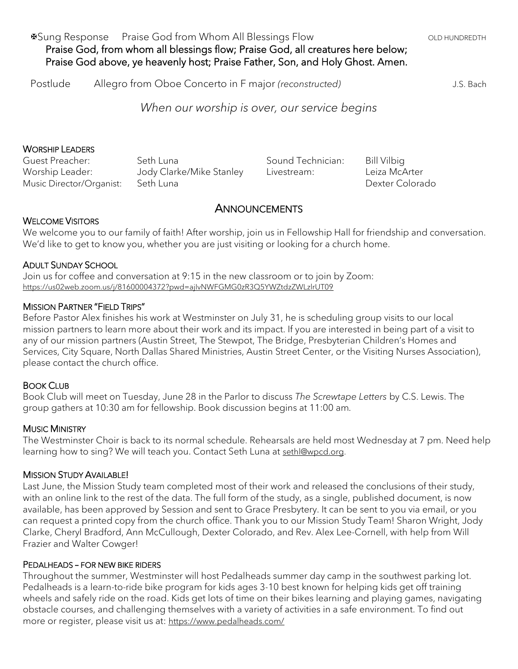Postlude Allegro from Oboe Concerto in F major *(reconstructed)* J.S. Bach

*When our worship is over, our service begins*

#### WORSHIP LEADERS

Guest Preacher: Seth Luna Worship Leader: Jody Clarke/Mike Stanley Music Director/Organist: Seth Luna

Sound Technician: Bill Vilbig Livestream: Leiza McArter

Dexter Colorado

### **ANNOUNCEMENTS**

#### WELCOME VISITORS

We welcome you to our family of faith! After worship, join us in Fellowship Hall for friendship and conversation. We'd like to get to know you, whether you are just visiting or looking for a church home.

#### ADULT SUNDAY SCHOOL

Join us for coffee and conversation at 9:15 in the new classroom or to join by Zoom: <https://us02web.zoom.us/j/81600004372?pwd=ajIvNWFGMG0zR3Q5YWZtdzZWLzlrUT09>

#### MISSION PARTNER "FIELD TRIPS"

Before Pastor Alex finishes his work at Westminster on July 31, he is scheduling group visits to our local mission partners to learn more about their work and its impact. If you are interested in being part of a visit to any of our mission partners (Austin Street, The Stewpot, The Bridge, Presbyterian Children's Homes and Services, City Square, North Dallas Shared Ministries, Austin Street Center, or the Visiting Nurses Association), please contact the church office.

#### BOOK CLUB

Book Club will meet on Tuesday, June 28 in the Parlor to discuss *The Screwtape Letters* by C.S. Lewis. The group gathers at 10:30 am for fellowship. Book discussion begins at 11:00 am*.*

#### MUSIC MINISTRY

The Westminster Choir is back to its normal schedule. Rehearsals are held most Wednesday at 7 pm. Need help learning how to sing? We will teach you. Contact Seth Luna at [sethl@wpcd.org.](mailto:sethl@wpcd.org)

#### MISSION STUDY AVAILABLE!

Last June, the Mission Study team completed most of their work and released the conclusions of their study, with an online link to the rest of the data. The full form of the study, as a single, published document, is now available, has been approved by Session and sent to Grace Presbytery. It can be sent to you via email, or you can request a printed copy from the church office. Thank you to our Mission Study Team! Sharon Wright, Jody Clarke, Cheryl Bradford, Ann McCullough, Dexter Colorado, and Rev. Alex Lee-Cornell, with help from Will Frazier and Walter Cowger!

#### PEDALHEADS – FOR NEW BIKE RIDERS

Throughout the summer, Westminster will host Pedalheads summer day camp in the southwest parking lot. Pedalheads is a learn-to-ride bike program for kids ages 3-10 best known for helping kids get off training wheels and safely ride on the road. Kids get lots of time on their bikes learning and playing games, navigating obstacle courses, and challenging themselves with a variety of activities in a safe environment. To find out more or register, please visit us at: <https://www.pedalheads.com/>